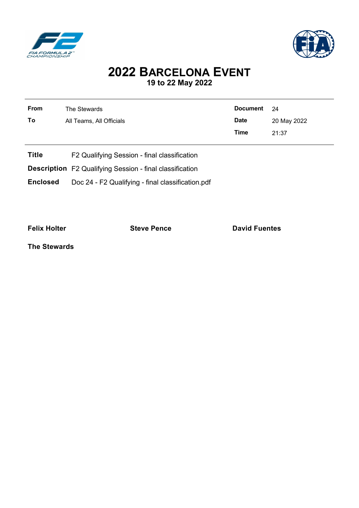



## **2022 BARCELONA EVENT 19 to 22 May 2022**

| <b>From</b>     | The Stewards                                                    | <b>Document</b> | 24          |  |  |  |  |
|-----------------|-----------------------------------------------------------------|-----------------|-------------|--|--|--|--|
| To              | All Teams, All Officials                                        | <b>Date</b>     | 20 May 2022 |  |  |  |  |
|                 |                                                                 | <b>Time</b>     | 21:37       |  |  |  |  |
|                 |                                                                 |                 |             |  |  |  |  |
| <b>Title</b>    | F2 Qualifying Session - final classification                    |                 |             |  |  |  |  |
|                 | <b>Description</b> F2 Qualifying Session - final classification |                 |             |  |  |  |  |
| <b>Enclosed</b> | Doc 24 - F2 Qualifying - final classification.pdf               |                 |             |  |  |  |  |

**Felix Holter Contract External Steve Pence David Fuentes** 

**The Stewards**